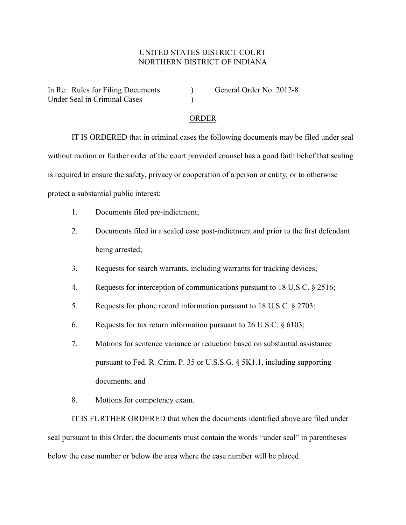## UNITED STATES DISTRICT COURT NORTHERN DISTRICT OF INDIANA

In Re: Rules for Filing Documents (a) General Order No. 2012-8 Under Seal in Criminal Cases (1986)

## ORDER

IT IS ORDERED that in criminal cases the following documents may be filed under seal without motion or further order of the court provided counsel has a good faith belief that sealing is required to ensure the safety, privacy or cooperation of a person or entity, or to otherwise protect a substantial public interest:

- 1. Documents filed pre-indictment;
- 2. Documents filed in a sealed case post-indictment and prior to the first defendant being arrested;
- 3. Requests for search warrants, including warrants for tracking devices;
- 4. Requests for interception of communications pursuant to 18 U.S.C. § 2516;
- 5. Requests for phone record information pursuant to 18 U.S.C. § 2703;
- 6. Requests for tax return information pursuant to 26 U.S.C. § 6103;
- 7. Motions for sentence variance or reduction based on substantial assistance pursuant to Fed. R. Crim. P. 35 or U.S.S.G. § 5K1.1, including supporting documents; and
- 8. Motions for competency exam.

IT IS FURTHER ORDERED that when the documents identified above are filed under seal pursuant to this Order, the documents must contain the words "under seal" in parentheses below the case number or below the area where the case number will be placed.